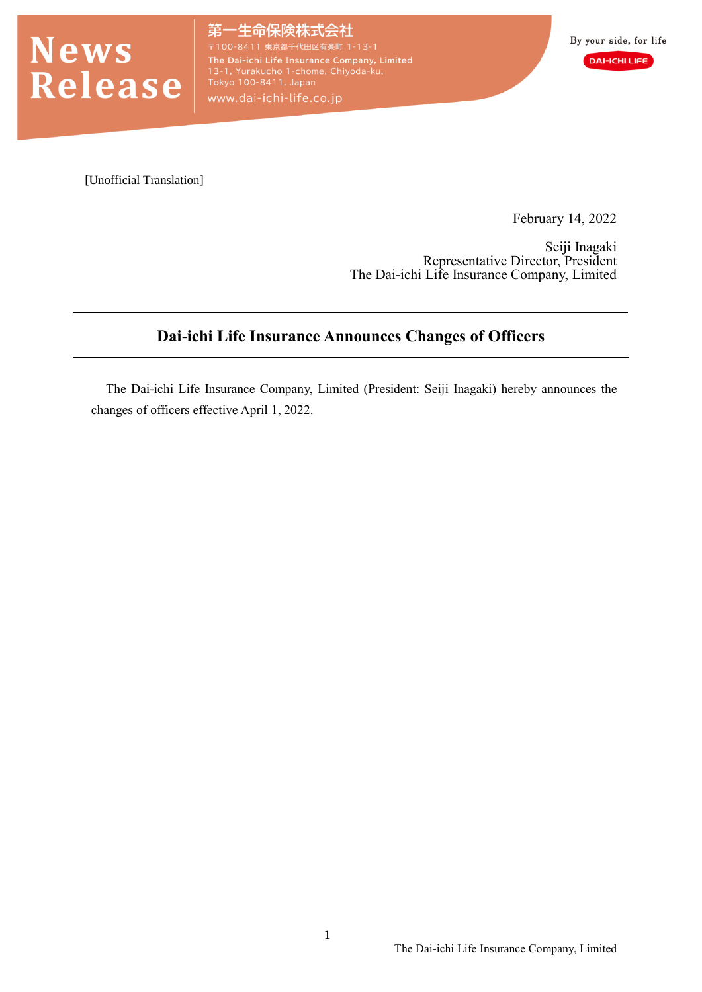

·生命保険株式会社 The Dai-ichi Life Insurance Company, Limited<br>13-1, Yurakucho 1-chome, Chiyoda-ku,<br>Tokyo 100-8411, Japan www.dai-ichi-life.co.jp

[Unofficial Translation]

February 14, 2022

Seiji Inagaki Representative Director, President The Dai-ichi Life Insurance Company, Limited

## **Dai-ichi Life Insurance Announces Changes of Officers**

The Dai-ichi Life Insurance Company, Limited (President: Seiji Inagaki) hereby announces the changes of officers effective April 1, 2022.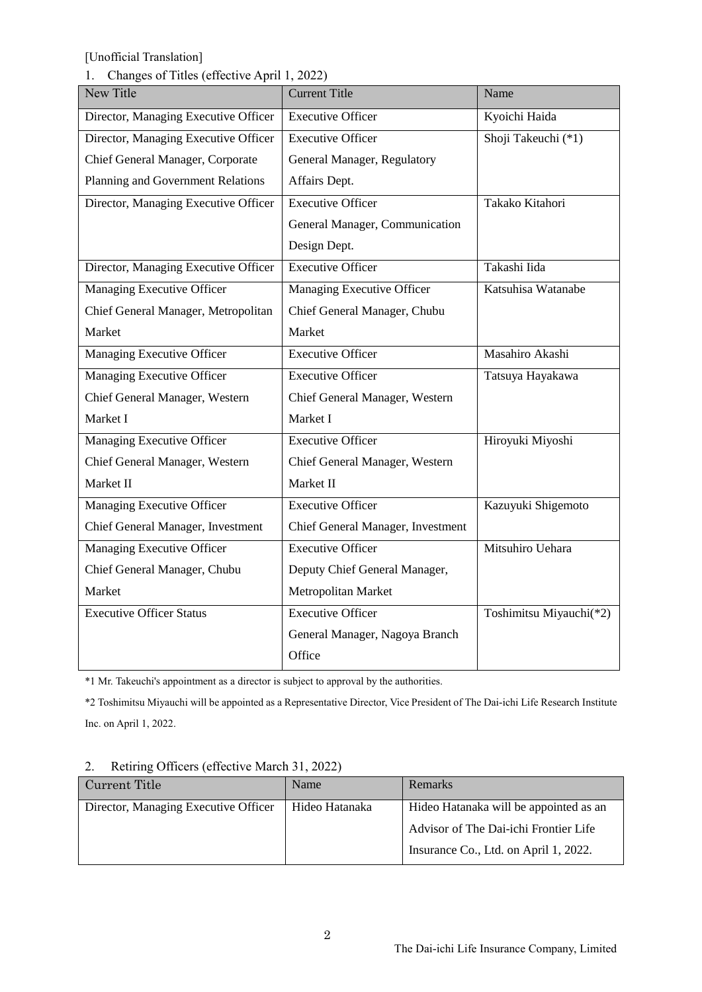### 1. Changes of Titles (effective April 1, 2022)

| New Title                            | <b>Current Title</b>              | Name                    |
|--------------------------------------|-----------------------------------|-------------------------|
| Director, Managing Executive Officer | <b>Executive Officer</b>          | Kyoichi Haida           |
| Director, Managing Executive Officer | <b>Executive Officer</b>          | Shoji Takeuchi (*1)     |
| Chief General Manager, Corporate     | General Manager, Regulatory       |                         |
| Planning and Government Relations    | Affairs Dept.                     |                         |
| Director, Managing Executive Officer | <b>Executive Officer</b>          | Takako Kitahori         |
|                                      | General Manager, Communication    |                         |
|                                      | Design Dept.                      |                         |
| Director, Managing Executive Officer | <b>Executive Officer</b>          | Takashi Iida            |
| Managing Executive Officer           | Managing Executive Officer        | Katsuhisa Watanabe      |
| Chief General Manager, Metropolitan  | Chief General Manager, Chubu      |                         |
| Market                               | Market                            |                         |
| Managing Executive Officer           | <b>Executive Officer</b>          | Masahiro Akashi         |
| <b>Managing Executive Officer</b>    | <b>Executive Officer</b>          | Tatsuya Hayakawa        |
| Chief General Manager, Western       | Chief General Manager, Western    |                         |
| Market I                             | Market I                          |                         |
| <b>Managing Executive Officer</b>    | <b>Executive Officer</b>          | Hiroyuki Miyoshi        |
| Chief General Manager, Western       | Chief General Manager, Western    |                         |
| Market II                            | Market II                         |                         |
| <b>Managing Executive Officer</b>    | <b>Executive Officer</b>          | Kazuyuki Shigemoto      |
| Chief General Manager, Investment    | Chief General Manager, Investment |                         |
| Managing Executive Officer           | <b>Executive Officer</b>          | Mitsuhiro Uehara        |
| Chief General Manager, Chubu         | Deputy Chief General Manager,     |                         |
| Market                               | Metropolitan Market               |                         |
| <b>Executive Officer Status</b>      | <b>Executive Officer</b>          | Toshimitsu Miyauchi(*2) |
|                                      | General Manager, Nagoya Branch    |                         |
|                                      | Office                            |                         |

\*1 Mr. Takeuchi's appointment as a director is subject to approval by the authorities.

\*2 Toshimitsu Miyauchi will be appointed as a Representative Director, Vice President of The Dai-ichi Life Research Institute Inc. on April 1, 2022.

#### 2. Retiring Officers (effective March 31, 2022)

| Current Title                        | Name           | Remarks                                |
|--------------------------------------|----------------|----------------------------------------|
| Director, Managing Executive Officer | Hideo Hatanaka | Hideo Hatanaka will be appointed as an |
|                                      |                | Advisor of The Dai-ichi Frontier Life  |
|                                      |                | Insurance Co., Ltd. on April 1, 2022.  |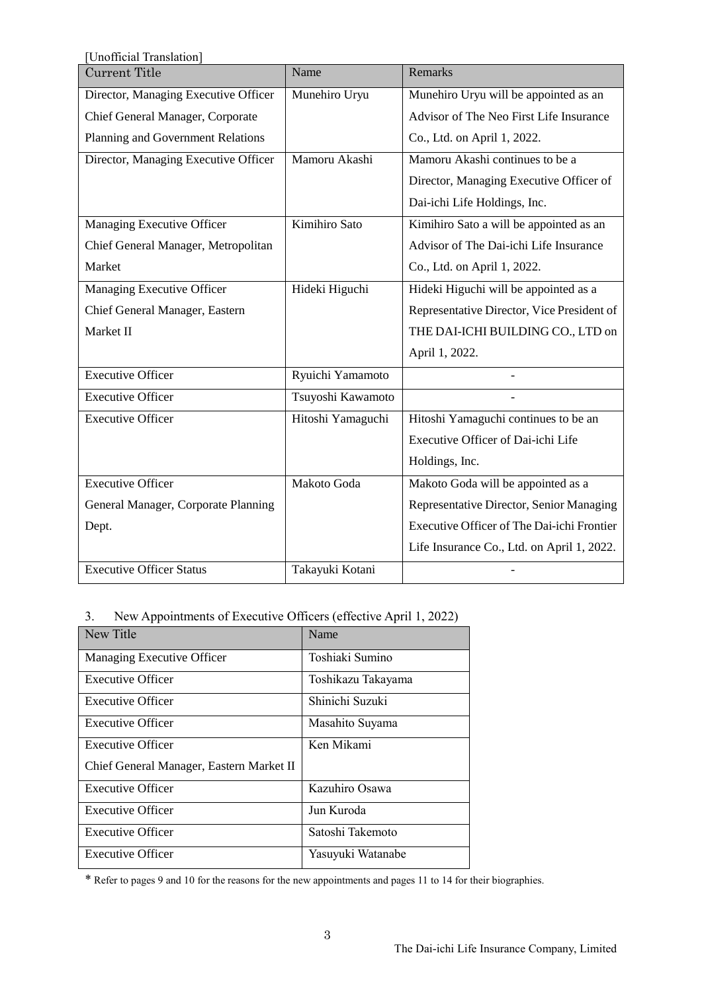| Unofficial Translation]              |                   |                                            |  |
|--------------------------------------|-------------------|--------------------------------------------|--|
| <b>Current Title</b>                 | Name              | <b>Remarks</b>                             |  |
| Director, Managing Executive Officer | Munehiro Uryu     | Munehiro Uryu will be appointed as an      |  |
| Chief General Manager, Corporate     |                   | Advisor of The Neo First Life Insurance    |  |
| Planning and Government Relations    |                   | Co., Ltd. on April 1, 2022.                |  |
| Director, Managing Executive Officer | Mamoru Akashi     | Mamoru Akashi continues to be a            |  |
|                                      |                   | Director, Managing Executive Officer of    |  |
|                                      |                   | Dai-ichi Life Holdings, Inc.               |  |
| Managing Executive Officer           | Kimihiro Sato     | Kimihiro Sato a will be appointed as an    |  |
| Chief General Manager, Metropolitan  |                   | Advisor of The Dai-ichi Life Insurance     |  |
| Market                               |                   | Co., Ltd. on April 1, 2022.                |  |
| Managing Executive Officer           | Hideki Higuchi    | Hideki Higuchi will be appointed as a      |  |
| Chief General Manager, Eastern       |                   | Representative Director, Vice President of |  |
| Market II                            |                   | THE DAI-ICHI BUILDING CO., LTD on          |  |
|                                      |                   | April 1, 2022.                             |  |
| <b>Executive Officer</b>             | Ryuichi Yamamoto  |                                            |  |
| <b>Executive Officer</b>             | Tsuyoshi Kawamoto |                                            |  |
| <b>Executive Officer</b>             | Hitoshi Yamaguchi | Hitoshi Yamaguchi continues to be an       |  |
|                                      |                   | Executive Officer of Dai-ichi Life         |  |
|                                      |                   | Holdings, Inc.                             |  |
| <b>Executive Officer</b>             | Makoto Goda       | Makoto Goda will be appointed as a         |  |
| General Manager, Corporate Planning  |                   | Representative Director, Senior Managing   |  |
| Dept.                                |                   | Executive Officer of The Dai-ichi Frontier |  |
|                                      |                   | Life Insurance Co., Ltd. on April 1, 2022. |  |
| <b>Executive Officer Status</b>      | Takayuki Kotani   |                                            |  |

# 3. New Appointments of Executive Officers (effective April 1, 2022)

| New Title                                | Name               |
|------------------------------------------|--------------------|
| Managing Executive Officer               | Toshiaki Sumino    |
| Executive Officer                        | Toshikazu Takayama |
| <b>Executive Officer</b>                 | Shinichi Suzuki    |
| <b>Executive Officer</b>                 | Masahito Suyama    |
| <b>Executive Officer</b>                 | Ken Mikami         |
| Chief General Manager, Eastern Market II |                    |
| <b>Executive Officer</b>                 | Kazuhiro Osawa     |
| <b>Executive Officer</b>                 | Jun Kuroda         |
| <b>Executive Officer</b>                 | Satoshi Takemoto   |
| <b>Executive Officer</b>                 | Yasuyuki Watanabe  |

\* Refer to pages 9 and 10 for the reasons for the new appointments and pages 11 to 14 for their biographies.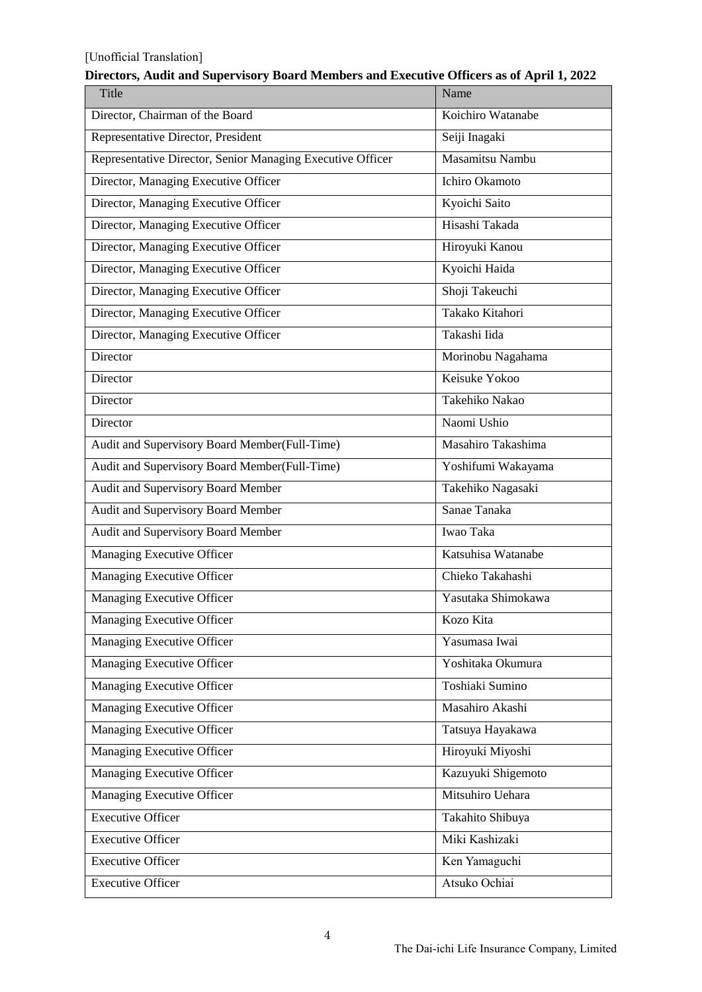| Title                                                      | Name               |
|------------------------------------------------------------|--------------------|
| Director, Chairman of the Board                            | Koichiro Watanabe  |
| Representative Director, President                         | Seiji Inagaki      |
| Representative Director, Senior Managing Executive Officer | Masamitsu Nambu    |
| Director, Managing Executive Officer                       | Ichiro Okamoto     |
| Director, Managing Executive Officer                       | Kyoichi Saito      |
| Director, Managing Executive Officer                       | Hisashi Takada     |
| Director, Managing Executive Officer                       | Hiroyuki Kanou     |
| Director, Managing Executive Officer                       | Kyoichi Haida      |
| Director, Managing Executive Officer                       | Shoji Takeuchi     |
| Director, Managing Executive Officer                       | Takako Kitahori    |
| Director, Managing Executive Officer                       | Takashi Iida       |
| Director                                                   | Morinobu Nagahama  |
| Director                                                   | Keisuke Yokoo      |
| Director                                                   | Takehiko Nakao     |
| Director                                                   | Naomi Ushio        |
| Audit and Supervisory Board Member(Full-Time)              | Masahiro Takashima |
| Audit and Supervisory Board Member(Full-Time)              | Yoshifumi Wakayama |
| Audit and Supervisory Board Member                         | Takehiko Nagasaki  |
| Audit and Supervisory Board Member                         | Sanae Tanaka       |
| Audit and Supervisory Board Member                         | Iwao Taka          |
| Managing Executive Officer                                 | Katsuhisa Watanabe |
| Managing Executive Officer                                 | Chieko Takahashi   |
| Managing Executive Officer                                 | Yasutaka Shimokawa |
| Managing Executive Officer                                 | Kozo Kita          |
| Managing Executive Officer                                 | Yasumasa Iwai      |
| Managing Executive Officer                                 | Yoshitaka Okumura  |
| Managing Executive Officer                                 | Toshiaki Sumino    |
| Managing Executive Officer                                 | Masahiro Akashi    |
| Managing Executive Officer                                 | Tatsuya Hayakawa   |
| <b>Managing Executive Officer</b>                          | Hiroyuki Miyoshi   |
| <b>Managing Executive Officer</b>                          | Kazuyuki Shigemoto |
| <b>Managing Executive Officer</b>                          | Mitsuhiro Uehara   |
| <b>Executive Officer</b>                                   | Takahito Shibuya   |
| <b>Executive Officer</b>                                   | Miki Kashizaki     |
| <b>Executive Officer</b>                                   | Ken Yamaguchi      |
| <b>Executive Officer</b>                                   | Atsuko Ochiai      |

### **Directors, Audit and Supervisory Board Members and Executive Officers as of April 1, 2022**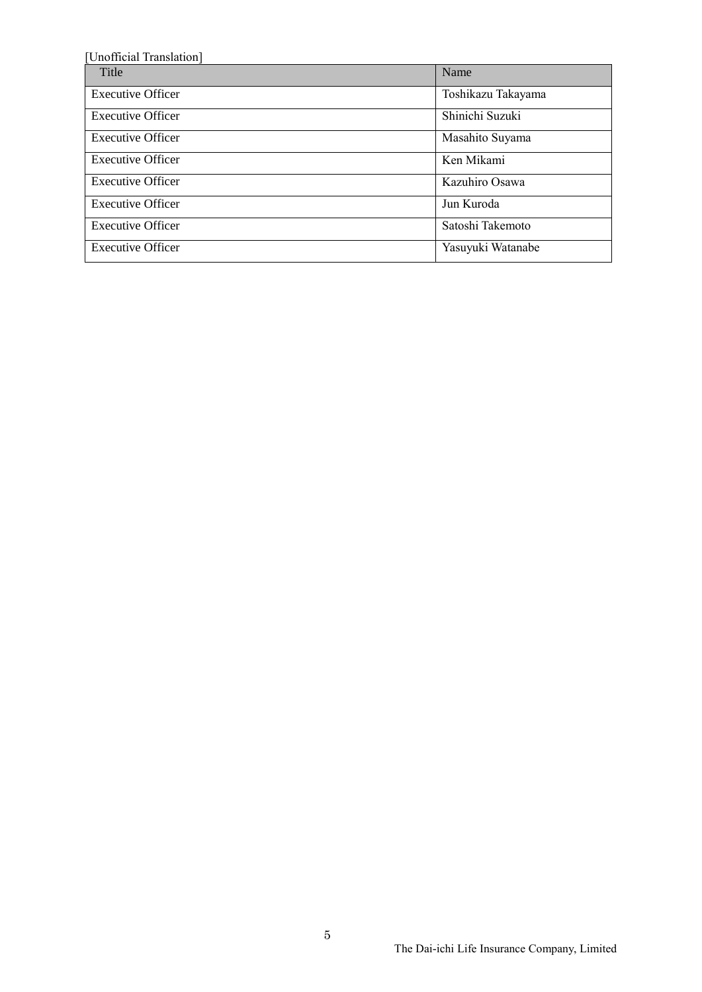| [Unofficial Translation] |                    |  |
|--------------------------|--------------------|--|
| Title                    | Name               |  |
| <b>Executive Officer</b> | Toshikazu Takayama |  |
| <b>Executive Officer</b> | Shinichi Suzuki    |  |
| <b>Executive Officer</b> | Masahito Suyama    |  |
| <b>Executive Officer</b> | Ken Mikami         |  |
| <b>Executive Officer</b> | Kazuhiro Osawa     |  |
| <b>Executive Officer</b> | Jun Kuroda         |  |
| <b>Executive Officer</b> | Satoshi Takemoto   |  |
| <b>Executive Officer</b> | Yasuyuki Watanabe  |  |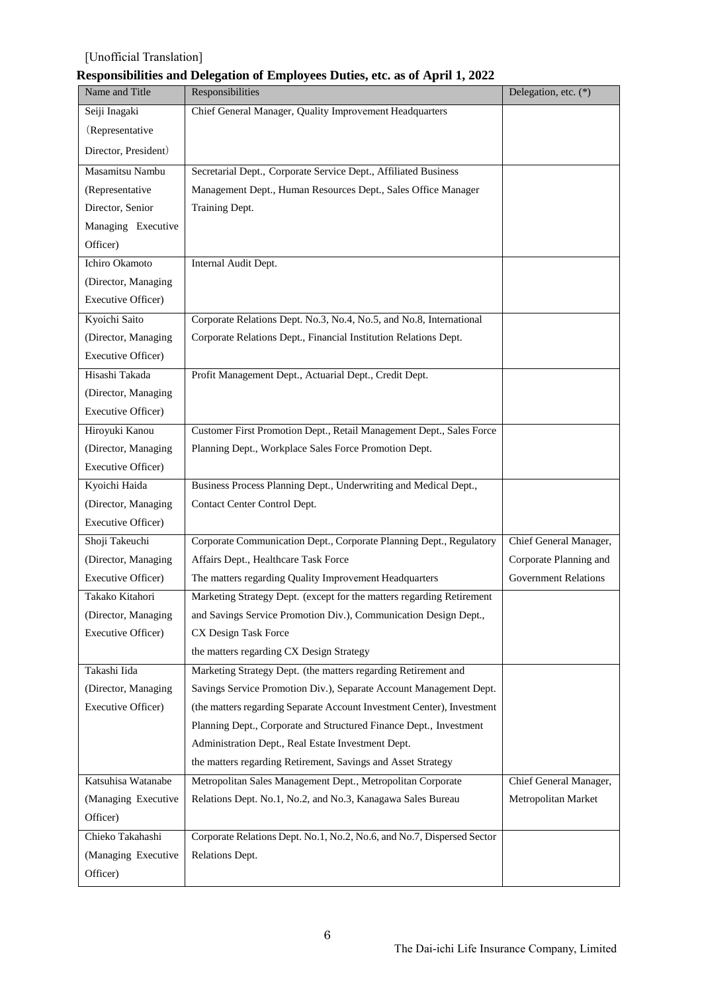### **Responsibilities and Delegation of Employees Duties, etc. as of April 1, 2022**

| Name and Title       | Responsibilities                                                       | Delegation, etc. (*)        |
|----------------------|------------------------------------------------------------------------|-----------------------------|
| Seiji Inagaki        | Chief General Manager, Quality Improvement Headquarters                |                             |
| (Representative      |                                                                        |                             |
| Director, President) |                                                                        |                             |
| Masamitsu Nambu      | Secretarial Dept., Corporate Service Dept., Affiliated Business        |                             |
| (Representative      | Management Dept., Human Resources Dept., Sales Office Manager          |                             |
| Director, Senior     | Training Dept.                                                         |                             |
| Managing Executive   |                                                                        |                             |
| Officer)             |                                                                        |                             |
| Ichiro Okamoto       | Internal Audit Dept.                                                   |                             |
| (Director, Managing  |                                                                        |                             |
| Executive Officer)   |                                                                        |                             |
| Kyoichi Saito        | Corporate Relations Dept. No.3, No.4, No.5, and No.8, International    |                             |
| (Director, Managing  | Corporate Relations Dept., Financial Institution Relations Dept.       |                             |
| Executive Officer)   |                                                                        |                             |
| Hisashi Takada       | Profit Management Dept., Actuarial Dept., Credit Dept.                 |                             |
| (Director, Managing  |                                                                        |                             |
| Executive Officer)   |                                                                        |                             |
| Hiroyuki Kanou       | Customer First Promotion Dept., Retail Management Dept., Sales Force   |                             |
| (Director, Managing  | Planning Dept., Workplace Sales Force Promotion Dept.                  |                             |
| Executive Officer)   |                                                                        |                             |
| Kyoichi Haida        | Business Process Planning Dept., Underwriting and Medical Dept.,       |                             |
| (Director, Managing  | Contact Center Control Dept.                                           |                             |
| Executive Officer)   |                                                                        |                             |
| Shoji Takeuchi       | Corporate Communication Dept., Corporate Planning Dept., Regulatory    | Chief General Manager,      |
| (Director, Managing  | Affairs Dept., Healthcare Task Force                                   | Corporate Planning and      |
| Executive Officer)   | The matters regarding Quality Improvement Headquarters                 | <b>Government Relations</b> |
| Takako Kitahori      | Marketing Strategy Dept. (except for the matters regarding Retirement  |                             |
| (Director, Managing) | and Savings Service Promotion Div.), Communication Design Dept.,       |                             |
| Executive Officer)   | CX Design Task Force                                                   |                             |
|                      | the matters regarding CX Design Strategy                               |                             |
| Takashi Iida         | Marketing Strategy Dept. (the matters regarding Retirement and         |                             |
| (Director, Managing  | Savings Service Promotion Div.), Separate Account Management Dept.     |                             |
| Executive Officer)   | (the matters regarding Separate Account Investment Center), Investment |                             |
|                      | Planning Dept., Corporate and Structured Finance Dept., Investment     |                             |
|                      | Administration Dept., Real Estate Investment Dept.                     |                             |
|                      | the matters regarding Retirement, Savings and Asset Strategy           |                             |
| Katsuhisa Watanabe   | Metropolitan Sales Management Dept., Metropolitan Corporate            | Chief General Manager,      |
| (Managing Executive  | Relations Dept. No.1, No.2, and No.3, Kanagawa Sales Bureau            | Metropolitan Market         |
| Officer)             |                                                                        |                             |
| Chieko Takahashi     | Corporate Relations Dept. No.1, No.2, No.6, and No.7, Dispersed Sector |                             |
| (Managing Executive  | Relations Dept.                                                        |                             |
| Officer)             |                                                                        |                             |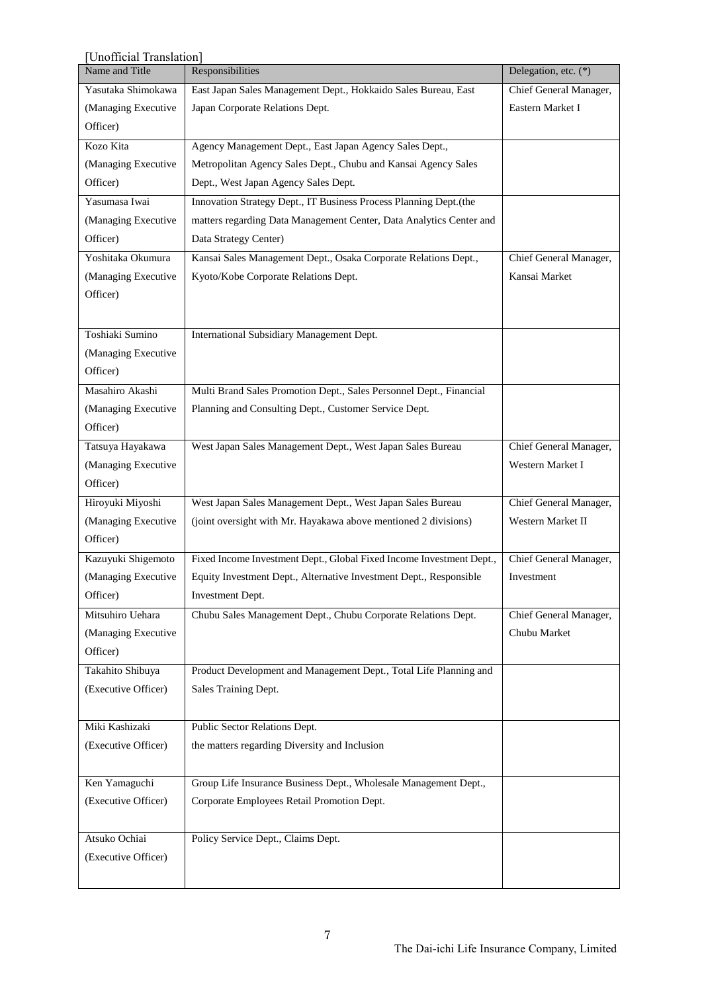| Unofficial Translation] |                                                                      |                        |  |  |
|-------------------------|----------------------------------------------------------------------|------------------------|--|--|
| Name and Title          | Responsibilities                                                     | Delegation, etc. (*)   |  |  |
| Yasutaka Shimokawa      | East Japan Sales Management Dept., Hokkaido Sales Bureau, East       | Chief General Manager, |  |  |
| (Managing Executive     | Japan Corporate Relations Dept.                                      | Eastern Market I       |  |  |
| Officer)                |                                                                      |                        |  |  |
| Kozo Kita               | Agency Management Dept., East Japan Agency Sales Dept.,              |                        |  |  |
| (Managing Executive     | Metropolitan Agency Sales Dept., Chubu and Kansai Agency Sales       |                        |  |  |
| Officer)                | Dept., West Japan Agency Sales Dept.                                 |                        |  |  |
| Yasumasa Iwai           | Innovation Strategy Dept., IT Business Process Planning Dept.(the    |                        |  |  |
| (Managing Executive     | matters regarding Data Management Center, Data Analytics Center and  |                        |  |  |
| Officer)                | Data Strategy Center)                                                |                        |  |  |
| Yoshitaka Okumura       | Kansai Sales Management Dept., Osaka Corporate Relations Dept.,      | Chief General Manager, |  |  |
| (Managing Executive     | Kyoto/Kobe Corporate Relations Dept.                                 | Kansai Market          |  |  |
| Officer)                |                                                                      |                        |  |  |
|                         |                                                                      |                        |  |  |
| Toshiaki Sumino         | International Subsidiary Management Dept.                            |                        |  |  |
| (Managing Executive     |                                                                      |                        |  |  |
| Officer)                |                                                                      |                        |  |  |
| Masahiro Akashi         | Multi Brand Sales Promotion Dept., Sales Personnel Dept., Financial  |                        |  |  |
| (Managing Executive     | Planning and Consulting Dept., Customer Service Dept.                |                        |  |  |
| Officer)                |                                                                      |                        |  |  |
| Tatsuya Hayakawa        | West Japan Sales Management Dept., West Japan Sales Bureau           | Chief General Manager, |  |  |
| (Managing Executive     |                                                                      | Western Market I       |  |  |
| Officer)                |                                                                      |                        |  |  |
| Hiroyuki Miyoshi        | West Japan Sales Management Dept., West Japan Sales Bureau           | Chief General Manager, |  |  |
| (Managing Executive     | (joint oversight with Mr. Hayakawa above mentioned 2 divisions)      | Western Market II      |  |  |
| Officer)                |                                                                      |                        |  |  |
| Kazuyuki Shigemoto      | Fixed Income Investment Dept., Global Fixed Income Investment Dept., | Chief General Manager, |  |  |
| (Managing Executive     | Equity Investment Dept., Alternative Investment Dept., Responsible   | Investment             |  |  |
| Officer)                | Investment Dept.                                                     |                        |  |  |
| Mitsuhiro Uehara        | Chubu Sales Management Dept., Chubu Corporate Relations Dept.        | Chief General Manager, |  |  |
| (Managing Executive     |                                                                      | Chubu Market           |  |  |
| Officer)                |                                                                      |                        |  |  |
| Takahito Shibuya        | Product Development and Management Dept., Total Life Planning and    |                        |  |  |
| (Executive Officer)     | Sales Training Dept.                                                 |                        |  |  |
|                         |                                                                      |                        |  |  |
| Miki Kashizaki          | Public Sector Relations Dept.                                        |                        |  |  |
| (Executive Officer)     | the matters regarding Diversity and Inclusion                        |                        |  |  |
|                         |                                                                      |                        |  |  |
| Ken Yamaguchi           | Group Life Insurance Business Dept., Wholesale Management Dept.,     |                        |  |  |
| (Executive Officer)     | Corporate Employees Retail Promotion Dept.                           |                        |  |  |
|                         |                                                                      |                        |  |  |
| Atsuko Ochiai           | Policy Service Dept., Claims Dept.                                   |                        |  |  |
| (Executive Officer)     |                                                                      |                        |  |  |
|                         |                                                                      |                        |  |  |
|                         |                                                                      |                        |  |  |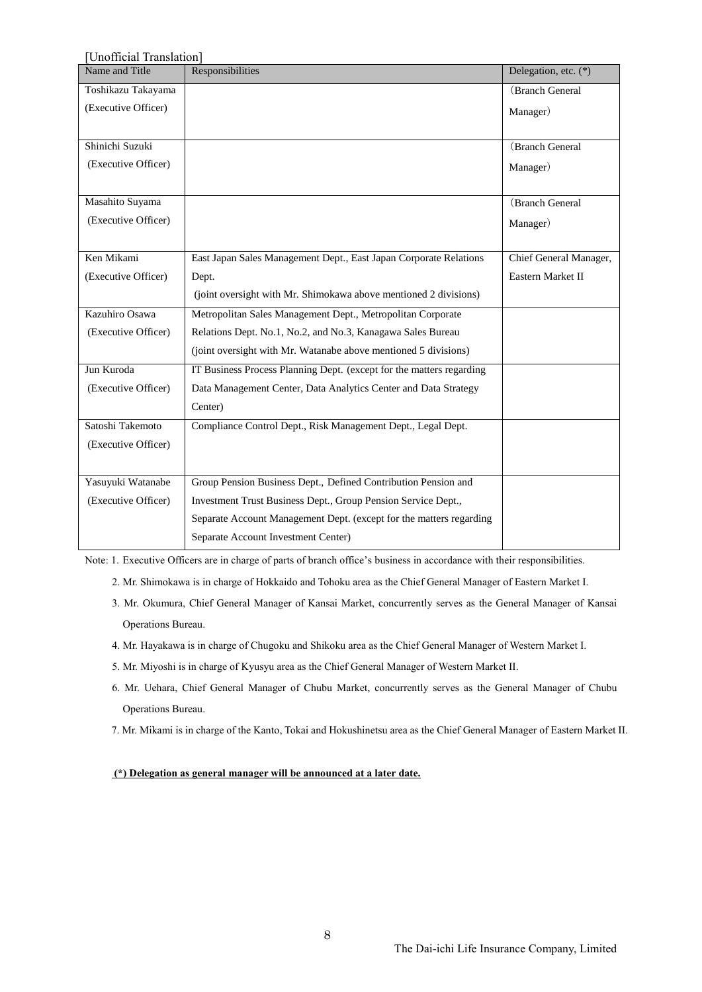| Unofficial Translation]                                              |                        |  |  |  |
|----------------------------------------------------------------------|------------------------|--|--|--|
| Responsibilities                                                     | Delegation, etc. (*)   |  |  |  |
|                                                                      | (Branch General        |  |  |  |
|                                                                      | Manager)               |  |  |  |
|                                                                      |                        |  |  |  |
|                                                                      | (Branch General        |  |  |  |
|                                                                      | Manager)               |  |  |  |
|                                                                      |                        |  |  |  |
|                                                                      | (Branch General        |  |  |  |
|                                                                      | Manager)               |  |  |  |
|                                                                      |                        |  |  |  |
| East Japan Sales Management Dept., East Japan Corporate Relations    | Chief General Manager, |  |  |  |
| Dept.                                                                | Eastern Market II      |  |  |  |
| (joint oversight with Mr. Shimokawa above mentioned 2 divisions)     |                        |  |  |  |
| Metropolitan Sales Management Dept., Metropolitan Corporate          |                        |  |  |  |
| Relations Dept. No.1, No.2, and No.3, Kanagawa Sales Bureau          |                        |  |  |  |
| (joint oversight with Mr. Watanabe above mentioned 5 divisions)      |                        |  |  |  |
| IT Business Process Planning Dept. (except for the matters regarding |                        |  |  |  |
| Data Management Center, Data Analytics Center and Data Strategy      |                        |  |  |  |
| Center)                                                              |                        |  |  |  |
| Compliance Control Dept., Risk Management Dept., Legal Dept.         |                        |  |  |  |
|                                                                      |                        |  |  |  |
|                                                                      |                        |  |  |  |
| Group Pension Business Dept., Defined Contribution Pension and       |                        |  |  |  |
| Investment Trust Business Dept., Group Pension Service Dept.,        |                        |  |  |  |
|                                                                      |                        |  |  |  |
| Separate Account Management Dept. (except for the matters regarding  |                        |  |  |  |
|                                                                      |                        |  |  |  |

Note: 1. Executive Officers are in charge of parts of branch office's business in accordance with their responsibilities.

- 2. Mr. Shimokawa is in charge of Hokkaido and Tohoku area as the Chief General Manager of Eastern Market I.
- 3. Mr. Okumura, Chief General Manager of Kansai Market, concurrently serves as the General Manager of Kansai Operations Bureau.
- 4. Mr. Hayakawa is in charge of Chugoku and Shikoku area as the Chief General Manager of Western Market I.
- 5. Mr. Miyoshi is in charge of Kyusyu area as the Chief General Manager of Western Market II.
- 6. Mr. Uehara, Chief General Manager of Chubu Market, concurrently serves as the General Manager of Chubu Operations Bureau.
- 7. Mr. Mikami is in charge of the Kanto, Tokai and Hokushinetsu area as the Chief General Manager of Eastern Market II.

**(\*) Delegation as general manager will be announced at a later date.**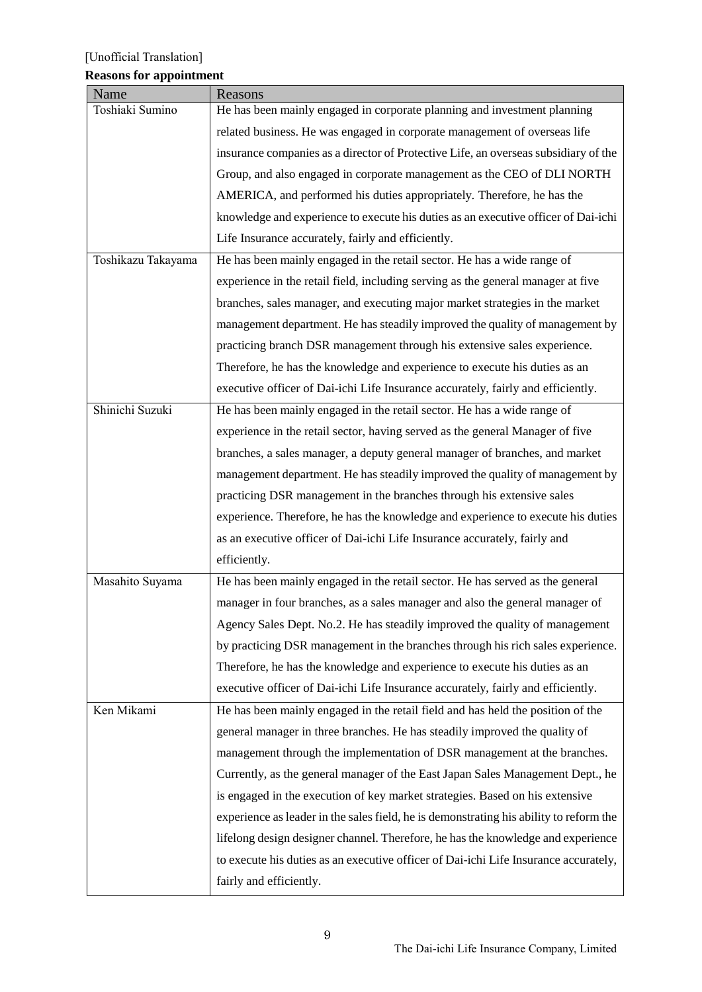## **Reasons for appointment**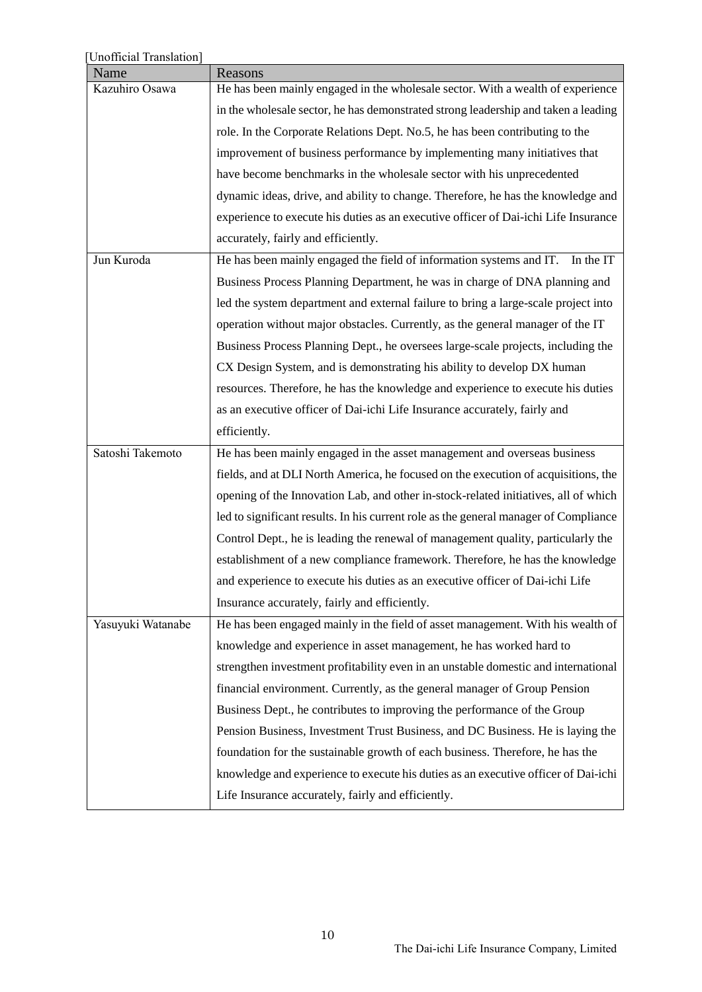| [Unofficial Translation] |                                                                                      |
|--------------------------|--------------------------------------------------------------------------------------|
| Name                     | Reasons                                                                              |
| Kazuhiro Osawa           | He has been mainly engaged in the wholesale sector. With a wealth of experience      |
|                          | in the wholesale sector, he has demonstrated strong leadership and taken a leading   |
|                          | role. In the Corporate Relations Dept. No.5, he has been contributing to the         |
|                          | improvement of business performance by implementing many initiatives that            |
|                          | have become benchmarks in the wholesale sector with his unprecedented                |
|                          | dynamic ideas, drive, and ability to change. Therefore, he has the knowledge and     |
|                          | experience to execute his duties as an executive officer of Dai-ichi Life Insurance  |
|                          | accurately, fairly and efficiently.                                                  |
| Jun Kuroda               | He has been mainly engaged the field of information systems and IT.<br>In the IT     |
|                          | Business Process Planning Department, he was in charge of DNA planning and           |
|                          | led the system department and external failure to bring a large-scale project into   |
|                          | operation without major obstacles. Currently, as the general manager of the IT       |
|                          | Business Process Planning Dept., he oversees large-scale projects, including the     |
|                          | CX Design System, and is demonstrating his ability to develop DX human               |
|                          | resources. Therefore, he has the knowledge and experience to execute his duties      |
|                          | as an executive officer of Dai-ichi Life Insurance accurately, fairly and            |
|                          | efficiently.                                                                         |
| Satoshi Takemoto         | He has been mainly engaged in the asset management and overseas business             |
|                          | fields, and at DLI North America, he focused on the execution of acquisitions, the   |
|                          | opening of the Innovation Lab, and other in-stock-related initiatives, all of which  |
|                          | led to significant results. In his current role as the general manager of Compliance |
|                          | Control Dept., he is leading the renewal of management quality, particularly the     |
|                          | establishment of a new compliance framework. Therefore, he has the knowledge         |
|                          | and experience to execute his duties as an executive officer of Dai-ichi Life        |
|                          | Insurance accurately, fairly and efficiently.                                        |
| Yasuyuki Watanabe        | He has been engaged mainly in the field of asset management. With his wealth of      |
|                          | knowledge and experience in asset management, he has worked hard to                  |
|                          | strengthen investment profitability even in an unstable domestic and international   |
|                          | financial environment. Currently, as the general manager of Group Pension            |
|                          | Business Dept., he contributes to improving the performance of the Group             |
|                          | Pension Business, Investment Trust Business, and DC Business. He is laying the       |
|                          | foundation for the sustainable growth of each business. Therefore, he has the        |
|                          | knowledge and experience to execute his duties as an executive officer of Dai-ichi   |
|                          | Life Insurance accurately, fairly and efficiently.                                   |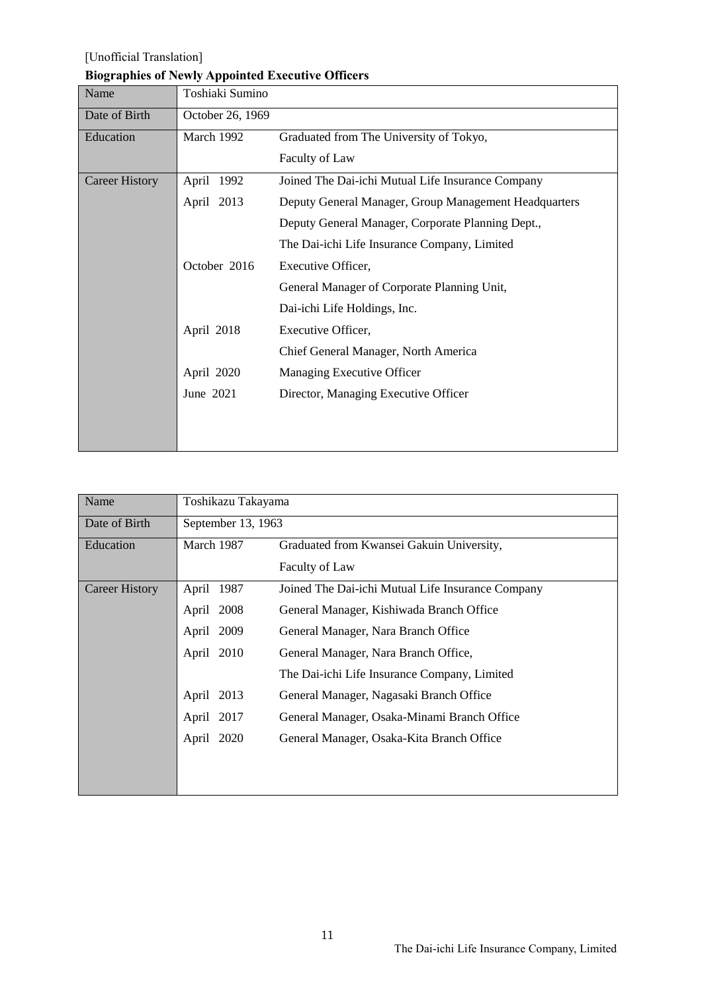### **Biographies of Newly Appointed Executive Officers**

| Name                  | Toshiaki Sumino  |                                                       |
|-----------------------|------------------|-------------------------------------------------------|
| Date of Birth         | October 26, 1969 |                                                       |
| Education             | March 1992       | Graduated from The University of Tokyo,               |
|                       |                  | Faculty of Law                                        |
| <b>Career History</b> | April 1992       | Joined The Dai-ichi Mutual Life Insurance Company     |
|                       | April 2013       | Deputy General Manager, Group Management Headquarters |
|                       |                  | Deputy General Manager, Corporate Planning Dept.,     |
|                       |                  | The Dai-ichi Life Insurance Company, Limited          |
|                       | October 2016     | Executive Officer,                                    |
|                       |                  | General Manager of Corporate Planning Unit,           |
|                       |                  | Dai-ichi Life Holdings, Inc.                          |
|                       | April 2018       | Executive Officer,                                    |
|                       |                  | Chief General Manager, North America                  |
|                       | April 2020       | Managing Executive Officer                            |
|                       | June 2021        | Director, Managing Executive Officer                  |
|                       |                  |                                                       |
|                       |                  |                                                       |

| Name                  | Toshikazu Takayama |                                                   |
|-----------------------|--------------------|---------------------------------------------------|
| Date of Birth         | September 13, 1963 |                                                   |
| Education             | March 1987         | Graduated from Kwansei Gakuin University,         |
|                       |                    | Faculty of Law                                    |
| <b>Career History</b> | April 1987         | Joined The Dai-ichi Mutual Life Insurance Company |
|                       | April 2008         | General Manager, Kishiwada Branch Office          |
|                       | April 2009         | General Manager, Nara Branch Office               |
|                       | April 2010         | General Manager, Nara Branch Office,              |
|                       |                    | The Dai-ichi Life Insurance Company, Limited      |
|                       | 2013<br>April      | General Manager, Nagasaki Branch Office           |
|                       | April 2017         | General Manager, Osaka-Minami Branch Office       |
|                       | April 2020         | General Manager, Osaka-Kita Branch Office         |
|                       |                    |                                                   |
|                       |                    |                                                   |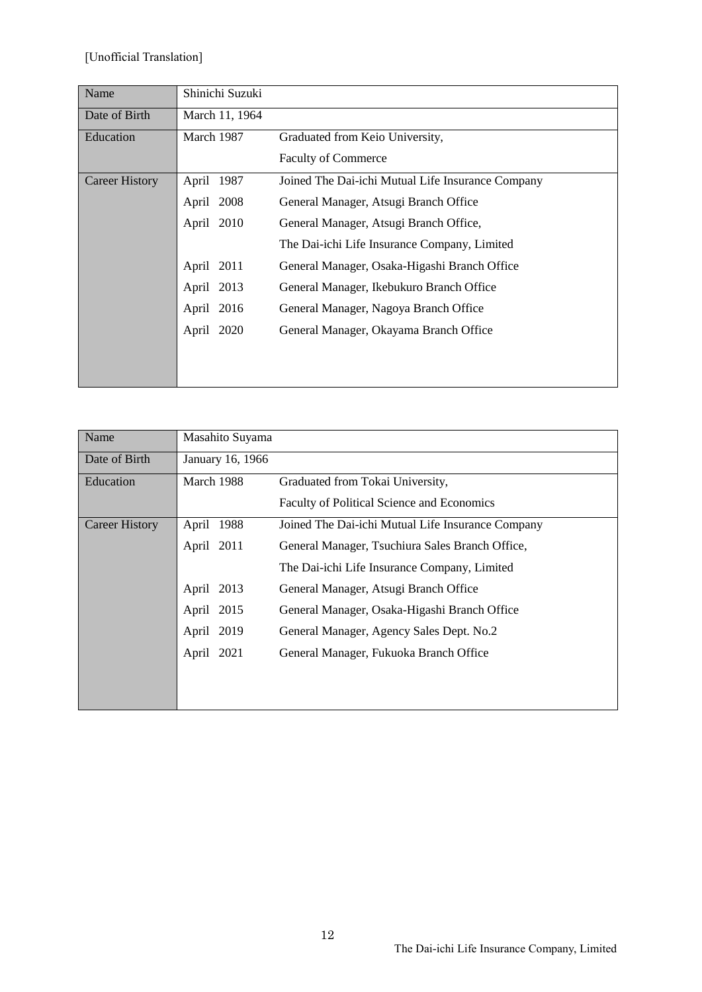| Name                  | Shinichi Suzuki |                                                   |
|-----------------------|-----------------|---------------------------------------------------|
| Date of Birth         | March 11, 1964  |                                                   |
| Education             | March 1987      | Graduated from Keio University,                   |
|                       |                 | <b>Faculty of Commerce</b>                        |
| <b>Career History</b> | April 1987      | Joined The Dai-ichi Mutual Life Insurance Company |
|                       | April 2008      | General Manager, Atsugi Branch Office             |
|                       | April 2010      | General Manager, Atsugi Branch Office,            |
|                       |                 | The Dai-ichi Life Insurance Company, Limited      |
|                       | April 2011      | General Manager, Osaka-Higashi Branch Office      |
|                       | April 2013      | General Manager, Ikebukuro Branch Office          |
|                       | April 2016      | General Manager, Nagoya Branch Office             |
|                       | April 2020      | General Manager, Okayama Branch Office            |
|                       |                 |                                                   |
|                       |                 |                                                   |

| Name                  | Masahito Suyama  |                                                   |
|-----------------------|------------------|---------------------------------------------------|
| Date of Birth         | January 16, 1966 |                                                   |
|                       |                  |                                                   |
| <b>Education</b>      | March 1988       | Graduated from Tokai University,                  |
|                       |                  | Faculty of Political Science and Economics        |
| <b>Career History</b> | April 1988       | Joined The Dai-ichi Mutual Life Insurance Company |
|                       | April 2011       | General Manager, Tsuchiura Sales Branch Office,   |
|                       |                  | The Dai-ichi Life Insurance Company, Limited      |
|                       | April 2013       | General Manager, Atsugi Branch Office             |
|                       | April 2015       | General Manager, Osaka-Higashi Branch Office      |
|                       | April 2019       | General Manager, Agency Sales Dept. No.2          |
|                       | April 2021       | General Manager, Fukuoka Branch Office            |
|                       |                  |                                                   |
|                       |                  |                                                   |
|                       |                  |                                                   |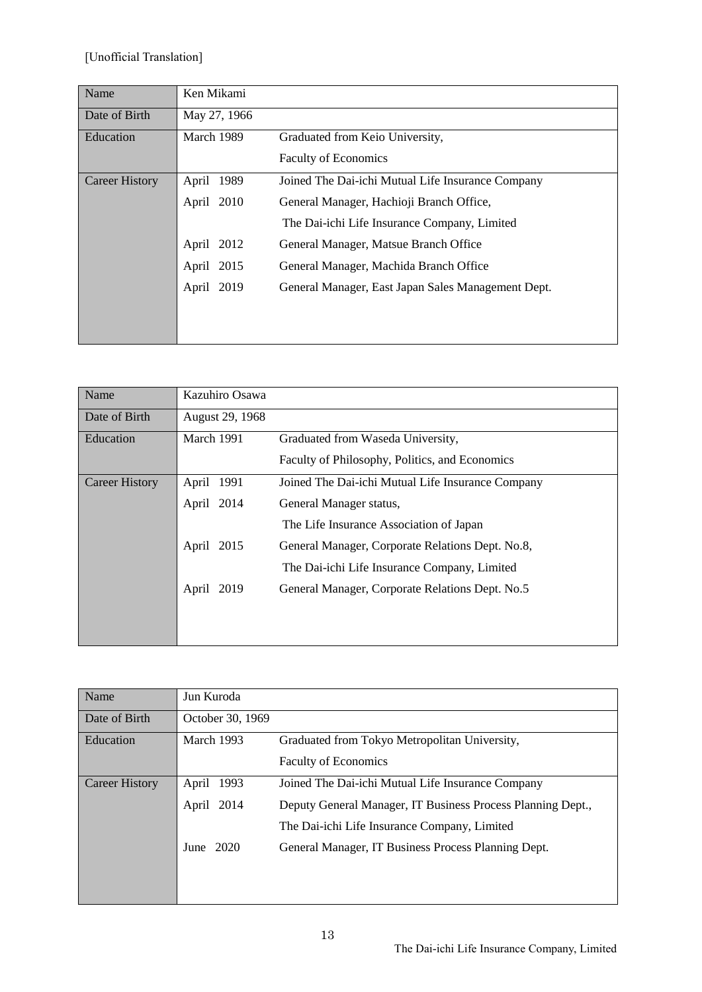| Name                  | Ken Mikami    |                                                    |
|-----------------------|---------------|----------------------------------------------------|
| Date of Birth         | May 27, 1966  |                                                    |
| Education             | March 1989    | Graduated from Keio University,                    |
|                       |               | <b>Faculty of Economics</b>                        |
| <b>Career History</b> | 1989<br>April | Joined The Dai-ichi Mutual Life Insurance Company  |
|                       | April 2010    | General Manager, Hachioji Branch Office,           |
|                       |               | The Dai-ichi Life Insurance Company, Limited       |
|                       | April 2012    | General Manager, Matsue Branch Office              |
|                       | April 2015    | General Manager, Machida Branch Office             |
|                       | April 2019    | General Manager, East Japan Sales Management Dept. |
|                       |               |                                                    |
|                       |               |                                                    |

| Name                  | Kazuhiro Osawa  |                                                   |
|-----------------------|-----------------|---------------------------------------------------|
| Date of Birth         | August 29, 1968 |                                                   |
| Education             | March 1991      | Graduated from Waseda University,                 |
|                       |                 | Faculty of Philosophy, Politics, and Economics    |
| <b>Career History</b> | April 1991      | Joined The Dai-ichi Mutual Life Insurance Company |
|                       | April 2014      | General Manager status,                           |
|                       |                 | The Life Insurance Association of Japan           |
|                       | April<br>2015   | General Manager, Corporate Relations Dept. No.8,  |
|                       |                 | The Dai-ichi Life Insurance Company, Limited      |
|                       | April<br>2019   | General Manager, Corporate Relations Dept. No.5   |
|                       |                 |                                                   |
|                       |                 |                                                   |

| Name                  | Jun Kuroda       |                                                             |
|-----------------------|------------------|-------------------------------------------------------------|
| Date of Birth         | October 30, 1969 |                                                             |
| Education             | March 1993       | Graduated from Tokyo Metropolitan University,               |
|                       |                  | <b>Faculty of Economics</b>                                 |
| <b>Career History</b> | April 1993       | Joined The Dai-ichi Mutual Life Insurance Company           |
|                       | April 2014       | Deputy General Manager, IT Business Process Planning Dept., |
|                       |                  | The Dai-ichi Life Insurance Company, Limited                |
|                       | June $2020$      | General Manager, IT Business Process Planning Dept.         |
|                       |                  |                                                             |
|                       |                  |                                                             |